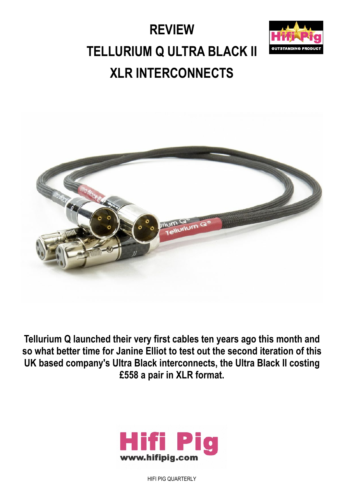# **REVIEW TELLURIUM Q ULTRA BLACK II XLR INTERCONNECTS**





**Tellurium Q launched their very first cables ten years ago this month and so what better time for Janine Elliot to test out the second iteration of this UK based company's Ultra Black interconnects, the Ultra Black II costing £558 a pair in XLR format.**



HIFI PIG QUARTERLY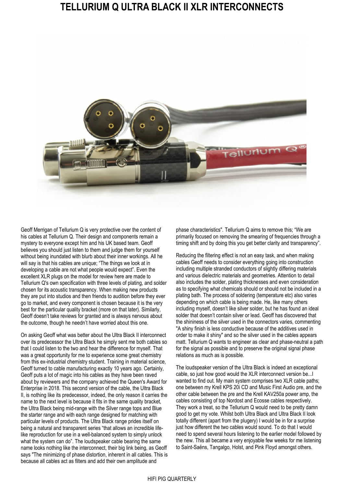### **TELLURIUM Q ULTRA BLACK II XLR INTERCONNECTS**



Geoff Merrigan of Tellurium Q is very protective over the content of his cables at Tellurium Q. Their design and components remain a mystery to everyone except him and his UK based team. Geoff believes you should just listen to them and judge them for yourself without being inundated with blurb about their inner workings. All he will say is that his cables are unique; "The things we look at in developing a cable are not what people would expect". Even the excellent XLR plugs on the model for review here are made to Tellurium Q's own specification with three levels of plating, and solder chosen for its acoustic transparency. When making new products they are put into studios and then friends to audition before they ever go to market, and every component is chosen because it is the very best for the particular quality bracket (more on that later). Similarly, Geoff doesn't take reviews for granted and is always nervous about the outcome, though he needn't have worried about this one.

On asking Geoff what was better about the Ultra Black II interconnect over its predecessor the Ultra Black he simply sent me both cables so that I could listen to the two and hear the difference for myself. That was a great opportunity for me to experience some great chemistry from this ex-industrial chemistry student. Training in material science, Geoff turned to cable manufacturing exactly 10 years ago. Certainly, Geoff puts a lot of magic into his cables as they have been raved about by reviewers and the company achieved the Queen's Award for Enterprise in 2018. This second version of the cable, the Ultra Black II, is nothing like its predecessor, indeed, the only reason it carries the name to the next level is because it fits in the same quality bracket, the Ultra Black being mid-range with the Silver range tops and Blue the starter range and with each range designed for matching with particular levels of products. The Ultra Black range prides itself on being a natural and transparent series "that allows an incredible lifelike reproduction for use in a well-balanced system to simply unlock what the system can do". The loudspeaker cable bearing the same name looks nothing like the interconnect, their big link being, as Geoff says "The minimizing of phase distortion, inherent in all cables. This is because all cables act as filters and add their own amplitude and

phase characteristics". Tellurium Q aims to remove this; "We are primarily focused on removing the smearing of frequencies through a timing shift and by doing this you get better clarity and transparency".

Reducing the filtering effect is not an easy task, and when making cables Geoff needs to consider everything going into construction including multiple stranded conductors of slightly differing materials and various dielectric materials and geometries. Attention to detail also includes the solder, plating thicknesses and even consideration as to specifying what chemicals should or should not be included in a plating bath. The process of soldering (temperature etc) also varies depending on which cable is being made. He, like many others including myself, doesn't like silver solder, but he has found an ideal solder that doesn't contain silver or lead. Geoff has discovered that the shininess of the silver used in the connectors varies, commenting "A shiny finish is less conductive because of the additives used in order to make it shiny" and so the silver used in the cables appears matt. Tellurium Q wants to engineer as clear and phase-neutral a path for the signal as possible and to preserve the original signal phase relations as much as is possible.

The loudspeaker version of the Ultra Black is indeed an exceptional cable, so just how good would the XLR interconnect version be...I wanted to find out. My main system comprises two XLR cable paths; one between my Krell KPS 20i CD and Music First Audio pre, and the other cable between the pre and the Krell KAV250a power amp, the cables consisting of top Nordost and Ecosse cables respectively. They work a treat, so the Tellurium Q would need to be pretty damn good to get my vote. Whilst both Ultra Black and Ultra Black II look totally different (apart from the plugery) I would be in for a surprise just how different the two cables would sound. To do that I would need to spend several hours listening to the earlier model followed by the new. This all became a very enjoyable few weeks for me listening to Saint-Saëns, Tangalgo, Holst, and Pink Floyd amongst others.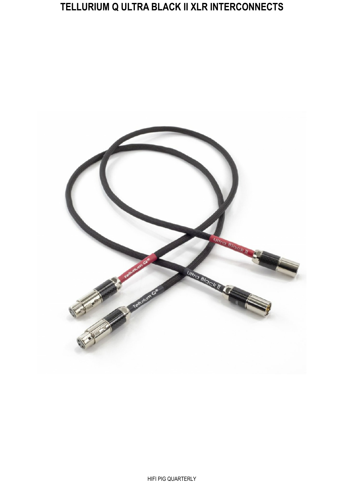# **TELLURIUM Q ULTRA BLACK II XLR INTERCONNECTS**

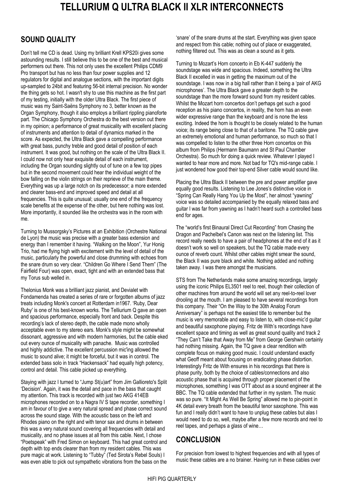#### **SOUND QUALITY**

Don't tell me CD is dead. Using my brilliant Krell KPS20i gives some astounding results. I still believe this to be one of the best and musical performers out there. This not only uses the excellent Philips CDM9 Pro transport but has no less than four power supplies and 12 regulators for digital and analogue sections, with the important digits up-sampled to 24bit and featuring 56-bit internal precision. No wonder the thing gets so hot. I wasn't shy to use this machine as the first part of my testing, initially with the older Ultra Black. The first piece of music was my Saint-Saëns Symphony no 3, better known as the Organ Symphony, though it also employs a brilliant rippling pianoforte part. The Chicago Symphony Orchestra do the best version out there in my opinion; a performance of great musicality with excellent placing of instruments and attention to detail of dynamics marked in the score. As expected, the Ultra Black gave a compelling performance with great bass, punchy treble and good detail of position of each instrument. It was good, but nothing on the scale of the Ultra Black II. I could now not only hear exquisite detail of each instrument, including the Organ sounding slightly out of tune on a few top pipes but in the second movement could hear the individual weight of the bow falling on the violin strings on their reprieve of the main theme. Everything was up a large notch on its predecessor; a more extended and clearer bass-end and improved speed and detail at all frequencies. This is quite unusual; usually one end of the frequency scale benefits at the expense of the other, but here nothing was lost. More importantly, it sounded like the orchestra was in the room with me.

Turning to Mussorgsky's Pictures at an Exhibition (Orchestre National de Lyon) the music was precise with a greater bass extension and energy than I remember it having. "Walking on the Moon", Yur Honig Trio, had me flying high with excitement with the level of detail of the music, particularly the powerful and close drumming with echoes from the snare drum so very clear. "Children Go Where I Send Them" (The Fairfield Four) was open, exact, tight and with an extended bass that my Torus sub welled in.

Thelonius Monk was a brilliant jazz pianist, and Devialet with Fondamenda has created a series of rare or forgotten albums of jazz treats including Monk's concert at Rotterdam in1967. 'Ruby, Dear Ruby' is one of his best-known works. The Telliurium Q gave an open and spacious performance, especially front and back. Despite this recording's lack of stereo depth, the cable made mono wholly acceptable even to my stereo ears. Monk's style might be somewhat dissonant, aggressive and with modern harmonies, but the cable eked out every ounce of musicality with panache. Music was controlled and highly addictive. The excellent percussion mic'ing allowed the music to sound alive; it might be forceful, but it was in control. The extended bass solo in track "Hackensack" had equally high potency, control and detail. This cable picked up everything.

Staying with jazz I turned to "Jump St(u)art" from Jim Gallioreto's Split 'Decision'. Again, it was the detail and pace in the bass that caught my attention. This track is recorded with just two AKG 414EB microphones recorded on to a Nagra IV S tape recorder, something I am in favour of to give a very natural spread and phase correct sound across the sound stage. With the acoustic bass on the left and Rhodes piano on the right and with tenor sax and drums in between this was a very natural sound covering all frequencies with detail and musicality, and no phase issues at all from this cable. Next, I chose "Poetspeak" with Fred Simon on keyboard. This had great control and depth with top ends clearer than from my resident cables. This was pure magic at work. Listening to "Tubby" (Ted Sirota's Rebel Souls) I was even able to pick out sympathetic vibrations from the bass on the

'snare' of the snare drums at the start. Everything was given space and respect from this cable; nothing out of place or exaggerated, nothing filtered out. This was as clean a sound as it gets.

Turning to Mozart's Horn concerto in Eb K-447 suddenly the soundstage was wide and spacious. Indeed, something the Ultra Black II excelled in was in getting the maximum out of the soundstage. I was now in a big hall rather than it being a 'pair of AKG microphones'. The Ultra Black gave a greater depth to the soundstage than the more forward sound from my resident cables. Whilst the Mozart horn concertos don't perhaps get such a good reception as his piano concertos, in reality, the horn has an even wider expressive range than the keyboard and is none the less exciting. Indeed the horn is thought to be closely related to the human voice; its range being close to that of a baritone. The TQ cable gave an extremely emotional and human performance, so much so that I was compelled to listen to the other three Horn concertos on this album from Philips (Hermann Baumann and St Paul Chamber Orchestra). So much for doing a quick review. Whatever I played I wanted to hear more and more. Not bad for TQ's mid-range cable. I just wondered how good their top-end Silver cable would sound like.

Placing the Ultra Black II between the pre and power amplifier gave equally good results. Listening to Lee Jones's distinctive voice in "Spring Can Really Hang You Up the Most", her almost "yawning" voice was so detailed accompanied by the equally relaxed bass and guitar I was far from yawning as I hadn't heard such a controlled bass end for ages.

The "world's first Binaural Direct Cut Recording" from Chasing the Dragon and Pachelbel's Canon was next on the listening list. This record really needs to have a pair of headphones at the end of it as it doesn't work so well on speakers, but the TQ cable made every ounce of reverb count. Whilst other cables might smear the sound, the Black II was pure black and white. Nothing added and nothing taken away. I was there amongst the musicians.

STS from The Netherlands make some amazing recordings, largely using the iconic Philips EL3501 reel to reel, though their collection of other machines from around the world will set any reel-to-reel lover drooling at the mouth. I am pleased to have several recordings from this company. Their "On the Way to the 30th Analog Forum Anniversary" is perhaps not the easiest title to remember but the music is very memorable and easy to listen to, with close-mic'd guitar and beautiful saxophone playing. Fritz de With's recordings have excellent space and timing as well as great sound quality and track 2 "They Can't Take that Away from Me" from George Gershwin certainly had nothing missing. Again, the TQ gave a clear rendition with complete focus on making good music. I could understand exactly what Geoff meant about focusing on eradicating phase distortion. Interestingly Fritz de With ensures in his recordings that there is phase purity, both by the choice of cables/connections and also acoustic phase that is acquired through proper placement of the microphones, something I was OTT about as a sound engineer at the BBC. The TQ cable extended that further in my system. The music was so pure. "It Might As Well Be Spring" allowed me to pin-point in 4K detail every breath from the beautiful tenor saxophone. This was fun and I really didn't want to have to unplug these cables but alas I would need to do so, well, maybe after a few more records and reel to reel tapes, and perhaps a glass of wine…

#### **CONCLUSION**

For precision from lowest to highest frequencies and with all types of music these cables are a no brainer. Having run in these cables over